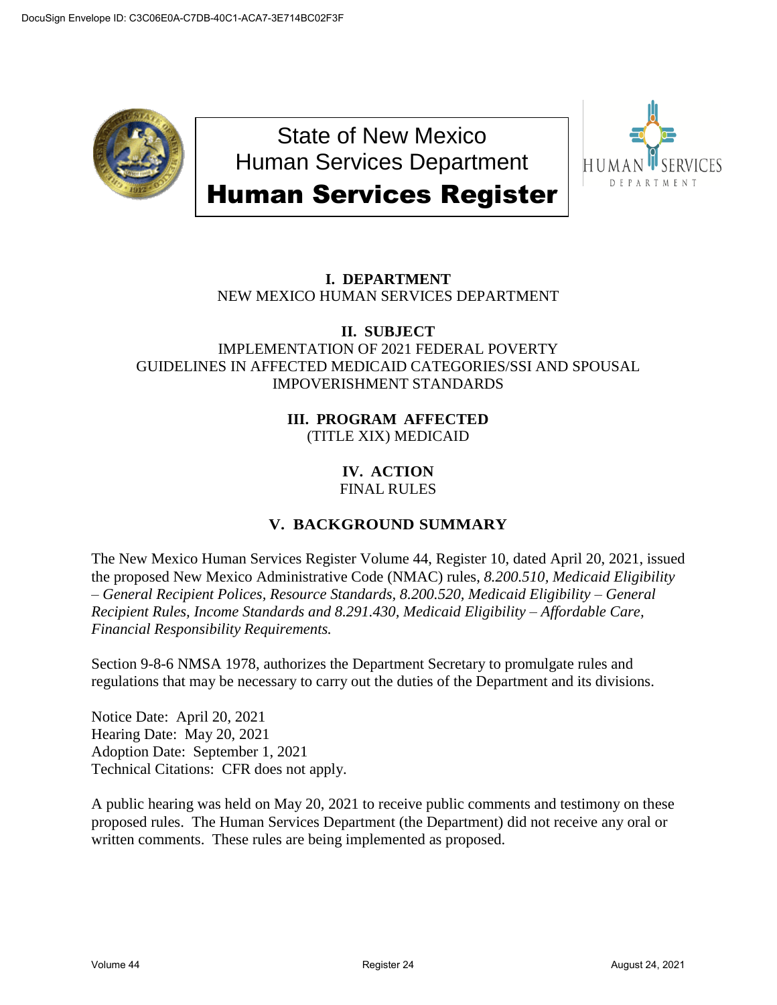

State of New Mexico Human Services Department Human Services Register



# **I. DEPARTMENT** NEW MEXICO HUMAN SERVICES DEPARTMENT

## **II. SUBJECT** IMPLEMENTATION OF 2021 FEDERAL POVERTY GUIDELINES IN AFFECTED MEDICAID CATEGORIES/SSI AND SPOUSAL IMPOVERISHMENT STANDARDS

### **III. PROGRAM AFFECTED** (TITLE XIX) MEDICAID

#### **IV. ACTION** FINAL RULES

# **V. BACKGROUND SUMMARY**

The New Mexico Human Services Register Volume 44, Register 10, dated April 20, 2021, issued the proposed New Mexico Administrative Code (NMAC) rules, *8.200.510, Medicaid Eligibility – General Recipient Polices, Resource Standards, 8.200.520, Medicaid Eligibility – General Recipient Rules, Income Standards and 8.291.430, Medicaid Eligibility – Affordable Care, Financial Responsibility Requirements.*

Section 9-8-6 NMSA 1978, authorizes the Department Secretary to promulgate rules and regulations that may be necessary to carry out the duties of the Department and its divisions.

Notice Date: April 20, 2021 Hearing Date: May 20, 2021 Adoption Date: September 1, 2021 Technical Citations: CFR does not apply.

A public hearing was held on May 20, 2021 to receive public comments and testimony on these proposed rules. The Human Services Department (the Department) did not receive any oral or written comments. These rules are being implemented as proposed.